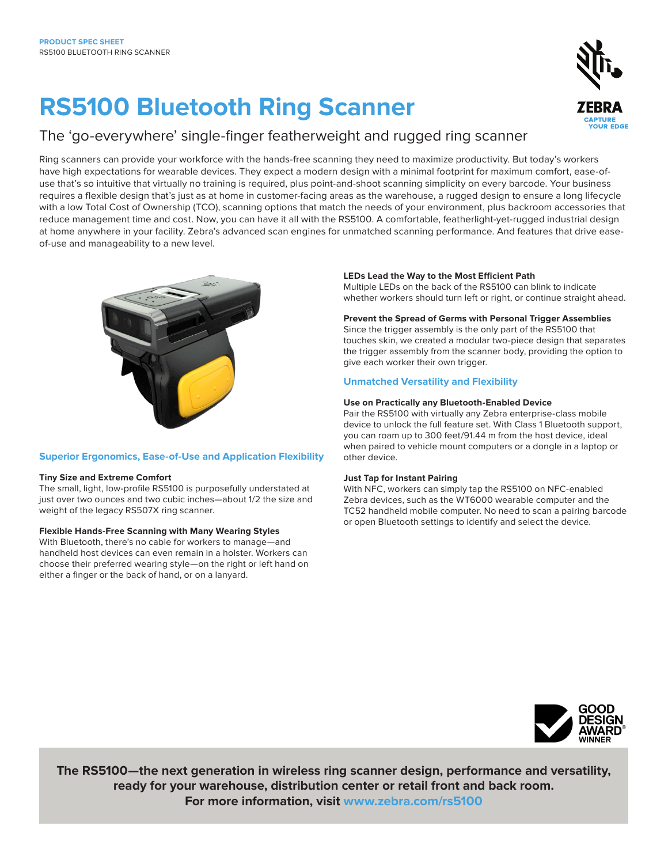# **RS5100 Bluetooth Ring Scanner**

## The 'go-everywhere' single-finger featherweight and rugged ring scanner

Ring scanners can provide your workforce with the hands-free scanning they need to maximize productivity. But today's workers have high expectations for wearable devices. They expect a modern design with a minimal footprint for maximum comfort, ease-ofuse that's so intuitive that virtually no training is required, plus point-and-shoot scanning simplicity on every barcode. Your business requires a flexible design that's just as at home in customer-facing areas as the warehouse, a rugged design to ensure a long lifecycle with a low Total Cost of Ownership (TCO), scanning options that match the needs of your environment, plus backroom accessories that reduce management time and cost. Now, you can have it all with the RS5100. A comfortable, featherlight-yet-rugged industrial design at home anywhere in your facility. Zebra's advanced scan engines for unmatched scanning performance. And features that drive easeof-use and manageability to a new level.



#### **Superior Ergonomics, Ease-of-Use and Application Flexibility**

#### **Tiny Size and Extreme Comfort**

The small, light, low-profile RS5100 is purposefully understated at just over two ounces and two cubic inches—about 1/2 the size and weight of the legacy RS507X ring scanner.

#### **Flexible Hands-Free Scanning with Many Wearing Styles**

With Bluetooth, there's no cable for workers to manage—and handheld host devices can even remain in a holster. Workers can choose their preferred wearing style—on the right or left hand on either a finger or the back of hand, or on a lanyard.

#### **LEDs Lead the Way to the Most Efficient Path**

Multiple LEDs on the back of the RS5100 can blink to indicate whether workers should turn left or right, or continue straight ahead.

#### **Prevent the Spread of Germs with Personal Trigger Assemblies**

Since the trigger assembly is the only part of the RS5100 that touches skin, we created a modular two-piece design that separates the trigger assembly from the scanner body, providing the option to give each worker their own trigger.

#### **Unmatched Versatility and Flexibility**

#### **Use on Practically any Bluetooth-Enabled Device**

Pair the RS5100 with virtually any Zebra enterprise-class mobile device to unlock the full feature set. With Class 1 Bluetooth support, you can roam up to 300 feet/91.44 m from the host device, ideal when paired to vehicle mount computers or a dongle in a laptop or other device.

#### **Just Tap for Instant Pairing**

With NFC, workers can simply tap the RS5100 on NFC-enabled Zebra devices, such as the WT6000 wearable computer and the TC52 handheld mobile computer. No need to scan a pairing barcode or open Bluetooth settings to identify and select the device.

**The RS5100—the next generation in wireless ring scanner design, performance and versatility, ready for your warehouse, distribution center or retail front and back room. For more information, visit [www.zebra.com/r](http://www.zebra.com/rs5100)s5100**

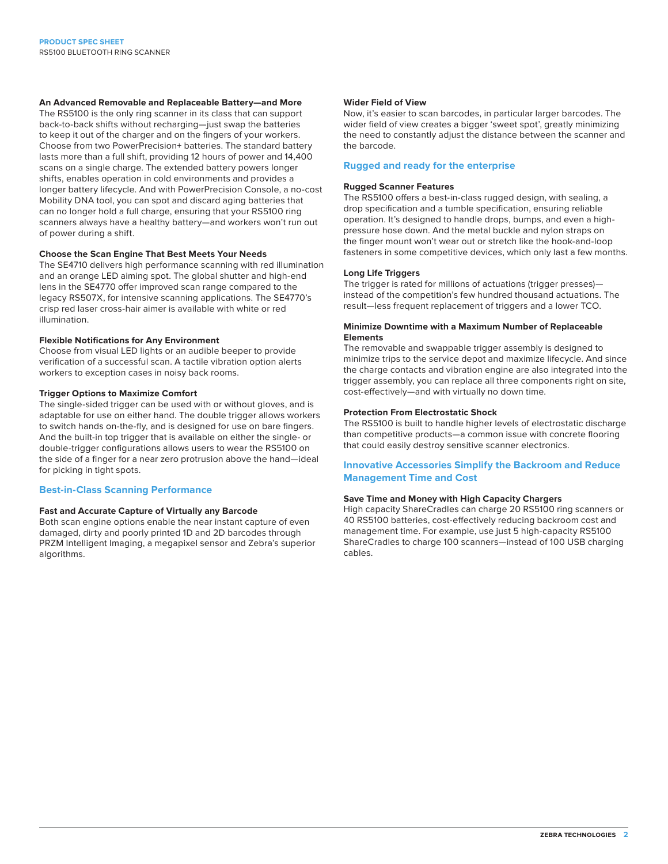#### **An Advanced Removable and Replaceable Battery—and More**

The RS5100 is the only ring scanner in its class that can support back-to-back shifts without recharging—just swap the batteries to keep it out of the charger and on the fingers of your workers. Choose from two PowerPrecision+ batteries. The standard battery lasts more than a full shift, providing 12 hours of power and 14,400 scans on a single charge. The extended battery powers longer shifts, enables operation in cold environments and provides a longer battery lifecycle. And with PowerPrecision Console, a no-cost Mobility DNA tool, you can spot and discard aging batteries that can no longer hold a full charge, ensuring that your RS5100 ring scanners always have a healthy battery—and workers won't run out of power during a shift.

#### **Choose the Scan Engine That Best Meets Your Needs**

The SE4710 delivers high performance scanning with red illumination and an orange LED aiming spot. The global shutter and high-end lens in the SE4770 offer improved scan range compared to the legacy RS507X, for intensive scanning applications. The SE4770's crisp red laser cross-hair aimer is available with white or red illumination.

#### **Flexible Notifications for Any Environment**

Choose from visual LED lights or an audible beeper to provide verification of a successful scan. A tactile vibration option alerts workers to exception cases in noisy back rooms.

#### **Trigger Options to Maximize Comfort**

The single-sided trigger can be used with or without gloves, and is adaptable for use on either hand. The double trigger allows workers to switch hands on-the-fly, and is designed for use on bare fingers. And the built-in top trigger that is available on either the single- or double-trigger configurations allows users to wear the RS5100 on the side of a finger for a near zero protrusion above the hand—ideal for picking in tight spots.

#### **Best-in-Class Scanning Performance**

#### **Fast and Accurate Capture of Virtually any Barcode**

Both scan engine options enable the near instant capture of even damaged, dirty and poorly printed 1D and 2D barcodes through PRZM Intelligent Imaging, a megapixel sensor and Zebra's superior algorithms.

#### **Wider Field of View**

Now, it's easier to scan barcodes, in particular larger barcodes. The wider field of view creates a bigger 'sweet spot', greatly minimizing the need to constantly adjust the distance between the scanner and the barcode.

#### **Rugged and ready for the enterprise**

#### **Rugged Scanner Features**

The RS5100 offers a best-in-class rugged design, with sealing, a drop specification and a tumble specification, ensuring reliable operation. It's designed to handle drops, bumps, and even a highpressure hose down. And the metal buckle and nylon straps on the finger mount won't wear out or stretch like the hook-and-loop fasteners in some competitive devices, which only last a few months.

#### **Long Life Triggers**

The trigger is rated for millions of actuations (trigger presses) instead of the competition's few hundred thousand actuations. The result—less frequent replacement of triggers and a lower TCO.

#### **Minimize Downtime with a Maximum Number of Replaceable Elements**

The removable and swappable trigger assembly is designed to minimize trips to the service depot and maximize lifecycle. And since the charge contacts and vibration engine are also integrated into the trigger assembly, you can replace all three components right on site, cost-effectively—and with virtually no down time.

#### **Protection From Electrostatic Shock**

The RS5100 is built to handle higher levels of electrostatic discharge than competitive products—a common issue with concrete flooring that could easily destroy sensitive scanner electronics.

#### **Innovative Accessories Simplify the Backroom and Reduce Management Time and Cost**

#### **Save Time and Money with High Capacity Chargers**

High capacity ShareCradles can charge 20 RS5100 ring scanners or 40 RS5100 batteries, cost-effectively reducing backroom cost and management time. For example, use just 5 high-capacity RS5100 ShareCradles to charge 100 scanners—instead of 100 USB charging cables.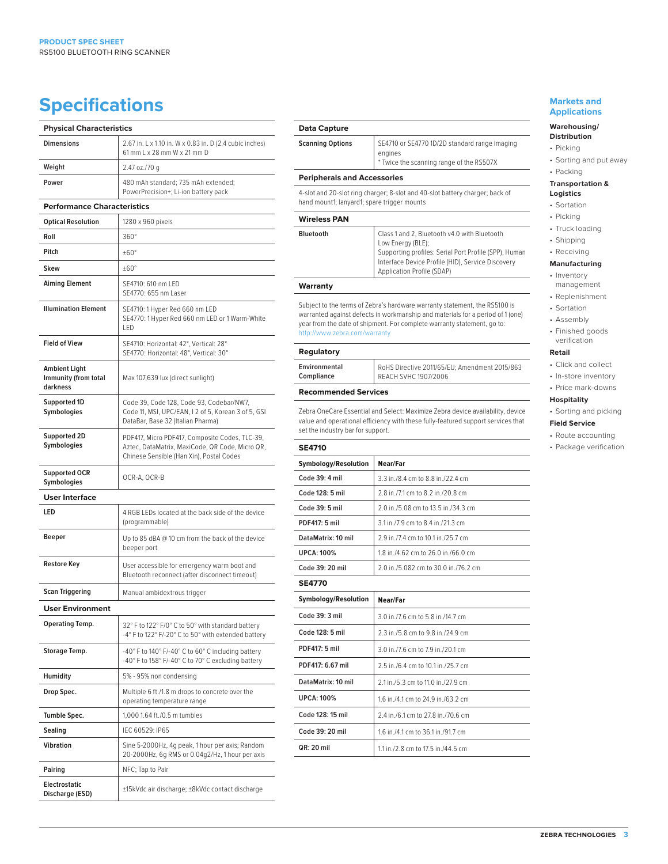# **Specifications Markets and** <br> **Specifications**

| <b>Physical Characteristics</b>                          |                                                                                                                                               |  |
|----------------------------------------------------------|-----------------------------------------------------------------------------------------------------------------------------------------------|--|
| <b>Dimensions</b>                                        | 2.67 in. L x 1.10 in. W x 0.83 in. D (2.4 cubic inches)<br>61 mm L x 28 mm W x 21 mm D                                                        |  |
| Weight                                                   | 2.47 oz./70 g                                                                                                                                 |  |
| Power                                                    | 480 mAh standard; 735 mAh extended;<br>PowerPrecision+; Li-ion battery pack                                                                   |  |
| <b>Performance Characteristics</b>                       |                                                                                                                                               |  |
| <b>Optical Resolution</b>                                | 1280 x 960 pixels                                                                                                                             |  |
| Roll                                                     | 360°                                                                                                                                          |  |
| Pitch                                                    | $±60^{\circ}$                                                                                                                                 |  |
| Skew                                                     | $±60^{\circ}$                                                                                                                                 |  |
| <b>Aiming Element</b>                                    | SE4710: 610 nm LED<br>SE4770: 655 nm Laser                                                                                                    |  |
| <b>Illumination Element</b>                              | SE4710: 1 Hyper Red 660 nm LED<br>SE4770: 1 Hyper Red 660 nm LED or 1 Warm-White<br>LED                                                       |  |
| <b>Field of View</b>                                     | SE4710: Horizontal: 42°, Vertical: 28°<br>SE4770: Horizontal: 48°, Vertical: 30°                                                              |  |
| <b>Ambient Light</b><br>Immunity (from total<br>darkness | Max 107,639 lux (direct sunlight)                                                                                                             |  |
| Supported 1D<br>Symbologies                              | Code 39, Code 128, Code 93, Codebar/NW7,<br>Code 11, MSI, UPC/EAN, I 2 of 5, Korean 3 of 5, GSI<br>DataBar, Base 32 (Italian Pharma)          |  |
| Supported 2D<br>Symbologies                              | PDF417, Micro PDF417, Composite Codes, TLC-39,<br>Aztec, DataMatrix, MaxiCode, QR Code, Micro QR,<br>Chinese Sensible (Han Xin), Postal Codes |  |
| <b>Supported OCR</b><br>Symbologies                      | OCR-A, OCR-B                                                                                                                                  |  |
| <b>User Interface</b>                                    |                                                                                                                                               |  |
| LED                                                      | 4 RGB LEDs located at the back side of the device<br>(programmable)                                                                           |  |
| <b>Beeper</b>                                            | Up to 85 dBA @ 10 cm from the back of the device<br>beeper port                                                                               |  |
| <b>Restore Key</b>                                       | User accessible for emergency warm boot and<br>Bluetooth reconnect (after disconnect timeout)                                                 |  |
| Scan Triggering                                          | Manual ambidextrous trigger                                                                                                                   |  |
| <b>User Environment</b>                                  |                                                                                                                                               |  |
| <b>Operating Temp.</b>                                   | 32° F to 122° F/0° C to 50° with standard battery<br>-4° F to 122° F/-20° C to 50° with extended battery                                      |  |
| Storage Temp.                                            | -40° F to 140° F/-40° C to 60° C including battery<br>-40°F to 158°F/-40°C to 70°C excluding battery                                          |  |
| Humidity                                                 | 5% - 95% non condensing                                                                                                                       |  |
| Drop Spec.                                               | Multiple 6 ft./1.8 m drops to concrete over the<br>operating temperature range                                                                |  |
| Tumble Spec.                                             | 1,000 1.64 ft./0.5 m tumbles                                                                                                                  |  |
| Sealing                                                  | IEC 60529: IP65                                                                                                                               |  |
| <b>Vibration</b>                                         | Sine 5-2000Hz, 4g peak, 1 hour per axis; Random<br>20-2000Hz, 6g RMS or 0.04g2/Hz, 1 hour per axis                                            |  |
| Pairing                                                  | NFC; Tap to Pair                                                                                                                              |  |
| <b>Electrostatic</b><br>Discharge (ESD)                  | ±15kVdc air discharge; ±8kVdc contact discharge                                                                                               |  |

#### **Data Capture**

| wata wapitare    |                                                                                                      |  |
|------------------|------------------------------------------------------------------------------------------------------|--|
| Scanning Options | SE4710 or SE4770 1D/2D standard range imaging<br>engines<br>* Twice the scanning range of the RS507X |  |
|                  |                                                                                                      |  |

### **Peripherals and Accessories**

4-slot and 20-slot ring charger; 8-slot and 40-slot battery charger; back of hand mount1; lanyard1; spare trigger mounts

### **Wireless PAN**

**Bluetooth** Class 1 and 2, Bluetooth v4.0 with Bluetooth Low Energy (BLE);

Supporting profiles: Serial Port Profile (SPP), Human Interface Device Profile (HID), Service Discovery Application Profile (SDAP)

#### **Warranty**

Subject to the terms of Zebra's hardware warranty statement, the RS5100 is warranted against defects in workmanship and materials for a period of 1 (one) year from the date of shipment. For complete warranty statement, go to: http://www.zebra.com/warranty

#### **Regulatory**

| Environmental | RoHS Directive 2 |
|---------------|------------------|
| Compliance    | REACH SVHC 190   |

011/65/EU; Amendment 2015/863 PH<sub>2</sub>

#### **Recommended Services**

Zebra OneCare Essential and Select: Maximize Zebra device availability, device value and operational efficiency with these fully-featured support services that set the industry bar for support.

#### **SE4710**

| Symbology/Resolution | Near/Far                             |
|----------------------|--------------------------------------|
| Code 39: 4 mil       | 3.3 in./8.4 cm to 8.8 in./22.4 cm    |
| Code 128: 5 mil      | 2.8 in./7.1 cm to 8.2 in./20.8 cm    |
| Code 39: 5 mil       | 2.0 in /5.08 cm to 13.5 in /34.3 cm  |
| PDF417: 5 mil        | 3.1 in /7.9 cm to 8.4 in /21.3 cm    |
| DataMatrix: 10 mil   | 2.9 in /7.4 cm to 10.1 in /25.7 cm   |
| <b>UPCA: 100%</b>    | 1.8 in /4.62 cm to 26.0 in /66.0 cm  |
| Code 39: 20 mil      | 2.0 in /5.082 cm to 30.0 in /76.2 cm |
| <b>SE4770</b>        |                                      |
| Symbology/Resolution | Near/Far                             |
| Code 39: 3 mil       | 3.0 in./7.6 cm to 5.8 in./14.7 cm    |
| Code 128: 5 mil      | 2.3 in./5.8 cm to 9.8 in./24.9 cm    |
| PDF417: 5 mil        | 3.0 in./7.6 cm to 7.9 in./20.1 cm    |
| PDF417: 6.67 mil     | 2.5 in /6.4 cm to 10.1 in /25.7 cm   |
| DataMatrix: 10 mil   | 2.1 in./5.3 cm to 11.0 in./27.9 cm   |
| <b>UPCA: 100%</b>    | 1.6 in /4.1 cm to 24.9 in /63.2 cm   |
| Code 128: 15 mil     | 2.4 in /6.1 cm to 27.8 in /70.6 cm   |
| Code 39: 20 mil      | 1.6 in /4.1 cm to 36.1 in /91.7 cm   |
| <b>QR: 20 mil</b>    | 1.1 in./2.8 cm to 17.5 in./44.5 cm   |

# **Applications**

#### **Warehousing/ Distribution**

- Picking
- 
- Sorting and put away • Packing

#### **Transportation &**

#### **Logistics**

- Sortation • Picking
- Truck loading
- Shipping

#### • Receiving **Manufacturing**

- Inventory
- management
- Replenishment
- Sortation
- Assembly
- Finished goods verification

#### **Retail**

- Click and collect
- In-store inventory • Price mark-downs

#### **Hospitality**

#### • Sorting and picking

- **Field Service** • Route accounting
- Package verification